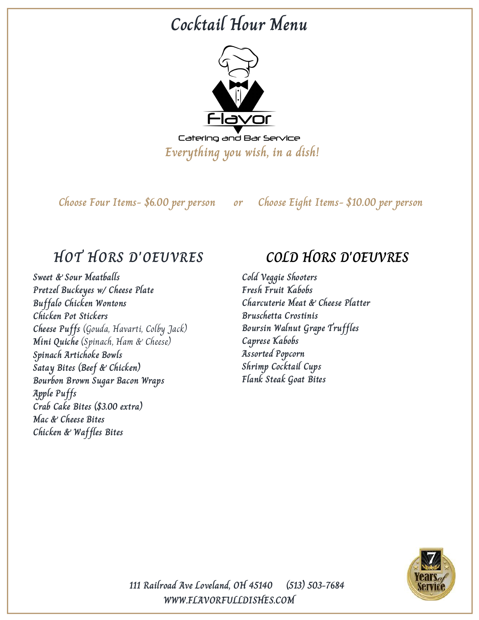# **Cocktail Hour Menu**



**Choose Four Items- \$6.00 per person or Choose Eight Items- \$10.00 per person**

## **HOT HORS D'OEUVRES**

**Sweet & Sour Meatballs Pretzel Buckeyes w/ Cheese Plate Buffalo Chicken Wontons Chicken Pot Stickers Cheese Puffs** (Gouda, Havarti, Colby Jack) **Mini Quiche** (Spinach, Ham & Cheese) **Spinach Artichoke Bowls Satay Bites (Beef & Chicken) Bourbon Brown Sugar Bacon Wraps Apple Puffs Crab Cake Bites (\$3.00 extra) Mac & Cheese Bites Chicken & Waffles Bites**

## **COLD HORS D'OEUVRES**

**Cold Veggie Shooters Fresh Fruit Kabobs Charcuterie Meat & Cheese Platter Bruschetta Crostinis Boursin Walnut Grape Truffles Caprese Kabobs Assorted Popcorn Shrimp Cocktail Cups Flank Steak Goat Bites**

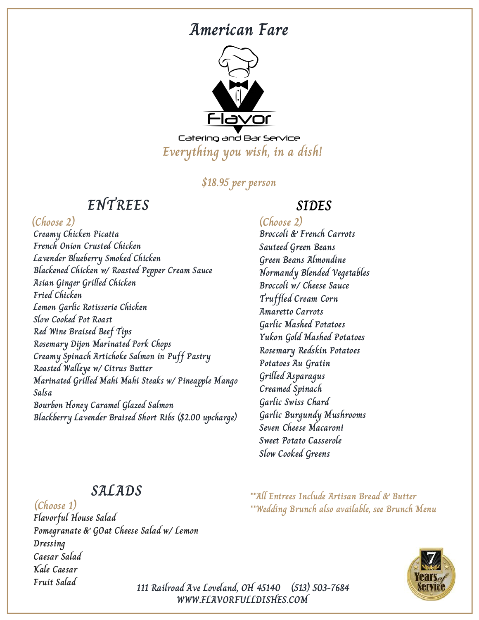## **American Fare**



Catering and Bar Service **Everything you wish, in a dish!**

### **\$18.95 per person**

## **ENTREES**

### **(Choose 2) (Choose 2)**

**Creamy Chicken Picatta French Onion Crusted Chicken Lavender Blueberry Smoked Chicken Blackened Chicken w/ Roasted Pepper Cream Sauce Asian Ginger Grilled Chicken Fried Chicken Lemon Garlic Rotisserie Chicken Slow Cooked Pot Roast Red Wine Braised Beef Tips Rosemary Dijon Marinated Pork Chops Creamy Spinach Artichoke Salmon in Puff Pastry Roasted Walleye w/ Citrus Butter Marinated Grilled Mahi Mahi Steaks w/ Pineapple Mango Salsa Bourbon Honey Caramel Glazed Salmon Blackberry Lavender Braised Short Ribs (\$2.00 upcharge)**

### **SIDES**

**Broccoli & French Carrots Sauteed Green Beans Green Beans Almondine Normandy Blended Vegetables Broccoli w/ Cheese Sauce Truffled Cream Corn Amaretto Carrots Garlic Mashed Potatoes Yukon Gold Mashed Potatoes Rosemary Redskin Potatoes Potatoes Au Gratin Grilled Asparagus Creamed Spinach Garlic Swiss Chard Garlic Burgundy Mushrooms Seven Cheese Macaroni Sweet Potato Casserole Slow Cooked Greens**

**\*\*All Entrees Include Artisan Bread & Butter**

**\*\*Wedding Brunch also available, see Brunch Menu**

### **SALADS**

**Flavorful House Salad Pomegranate & GOat Cheese Salad w/ Lemon Dressing Caesar Salad Kale Caesar Fruit Salad (Choose 1)**

**WWW.FLAVORFULLDISHES.COM 111 Railroad Ave Loveland, OH 45140 (513) 503-7684**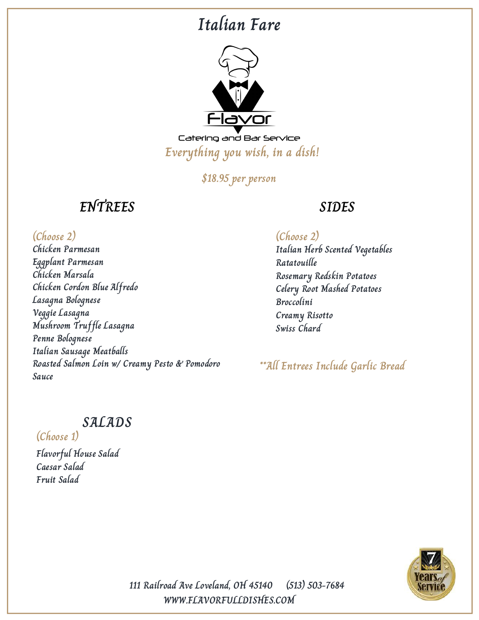## **Italian Fare**



Catering and Bar Service **Everything you wish, in a dish!**

**\$18.95 per person**

## **ENTREES**

### **(Choose 2) (Choose 2)**

**Chicken Parmesan Eggplant Parmesan Chicken Marsala Chicken Cordon Blue Alfredo Lasagna Bolognese Veggie Lasagna Mushroom Truffle Lasagna Penne Bolognese Italian Sausage Meatballs Roasted Salmon Loin w/ Creamy Pesto & Pomodoro Sauce**

### **SIDES**

**Italian Herb Scented Vegetables Ratatouille Rosemary Redskin Potatoes Celery Root Mashed Potatoes Broccolini Creamy Risotto Swiss Chard**

**\*\*All Entrees Include Garlic Bread**

## **SALADS**

**(Choose 1)**

**Flavorful House Salad Caesar Salad Fruit Salad**

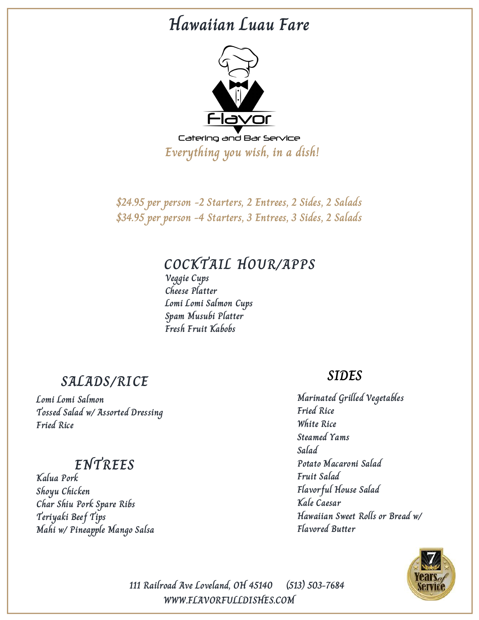## **Hawaiian Luau Fare**



**Everything you wish, in a dish!**

**\$24.95 per person -2 Starters, 2 Entrees, 2 Sides, 2 Salads \$34.95 per person -4 Starters, 3 Entrees, 3 Sides, 2 Salads**

## **COCKTAIL HOUR/APPS**

**Veggie Cups Cheese Platter Lomi Lomi Salmon Cups Spam Musubi Platter Fresh Fruit Kabobs**

### **SALADS/RICE**

**Lomi Lomi Salmon Tossed Salad w/ Assorted Dressing Fried Rice**

## **ENTREES**

**Kalua Pork Shoyu Chicken Char Shiu Pork Spare Ribs Teriyaki Beef Tips Mahi w/ Pineapple Mango Salsa**

### **SIDES**

**Marinated Grilled Vegetables Fried Rice White Rice Steamed Yams Salad Potato Macaroni Salad Fruit Salad Flavorful House Salad Kale Caesar Hawaiian Sweet Rolls or Bread w/ Flavored Butter**

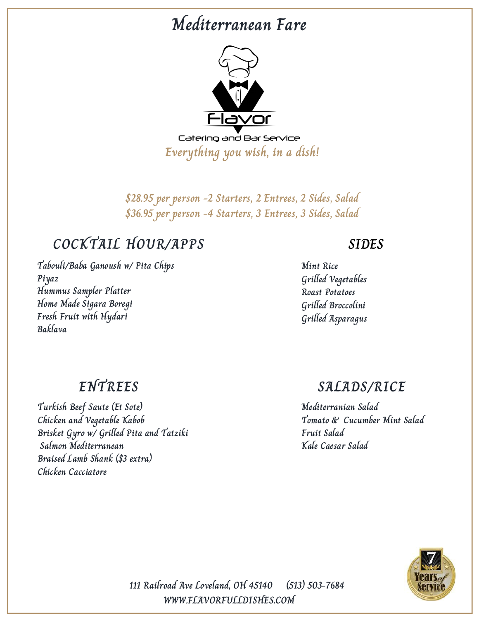# **Mediterranean Fare**



**\$28.95 per person -2 Starters, 2 Entrees, 2 Sides, Salad \$36.95 per person -4 Starters, 3 Entrees, 3 Sides, Salad**

## **COCKTAIL HOUR/APPS**

**Tabouli/Baba Ganoush w/ Pita Chips Piyaz Hummus Sampler Platter Home Made Sigara Boregi Fresh Fruit with Hydari Baklava**

### **SIDES**

**Mint Rice Grilled Vegetables Roast Potatoes Grilled Broccolini Grilled Asparagus**

## **ENTREES**

**Turkish Beef Saute (Et Sote) Chicken and Vegetable Kabob Brisket Gyro w/ Grilled Pita and Tatziki Salmon Mediterranean Braised Lamb Shank (\$3 extra) Chicken Cacciatore**

### **SALADS/RICE**

**Mediterranian Salad Tomato & Cucumber Mint Salad Fruit Salad Kale Caesar Salad**

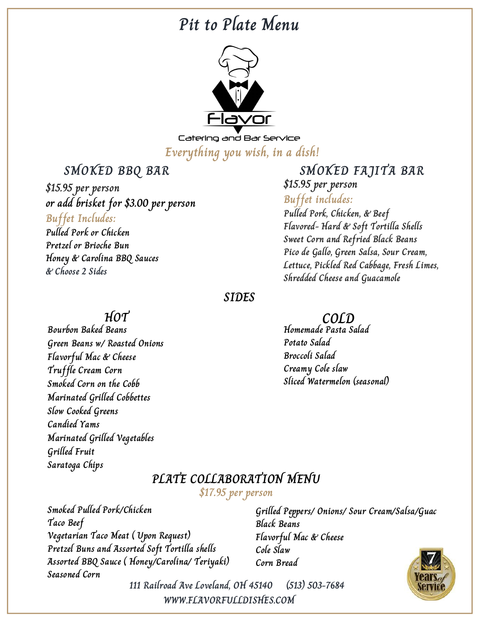## **Pit to Plate Menu**



Catering and Bar Service **Everything you wish, in a dish!**

**SMOKED BBQ BAR**

**\$15.95 per person or add brisket for \$3.00 per person Buffet Includes: Pulled Pork or Chicken Pretzel or Brioche Bun**

**Honey & Carolina BBQ Sauces**

### **SMOKED FAJITA BAR \$15.95 per person**

### **Buffet includes:**

**Pulled Pork, Chicken, & Beef Flavored- Hard & Soft Tortilla Shells Sweet Corn and Refried Black Beans Pico de Gallo, Green Salsa, Sour Cream, Lettuce, Pickled Red Cabbage, Fresh Limes, Shredded Cheese and Guacamole**

### **SIDES**

**Homemade Pasta Salad Potato Salad Broccoli Salad Creamy Cole slaw Sliced Watermelon (seasonal)**

**Grilled Peppers/ Onions/ Sour Cream/Salsa/Guac**

**Black Beans**

**Cole Slaw Corn Bread**

**Flavorful Mac & Cheese**

**PLATE COLLABORATION MENU \$17.95 per person**

**Smoked Pulled Pork/Chicken Taco Beef Vegetarian Taco Meat ( Upon Request) Pretzel Buns and Assorted Soft Tortilla shells Assorted BBQ Sauce ( Honey/Carolina/ Teriyaki) Seasoned Corn**

**111 Railroad Ave Loveland, OH 45140 (513) 503-7684 WWW.FLAVORFULLDISHES.COM**



**HOT COLD**

**& Choose 2 Sides**

**Bourbon Baked Beans Green Beans w/ Roasted Onions Flavorful Mac & Cheese Truffle Cream Corn Smoked Corn on the Cobb Marinated Grilled Cobbettes Slow Cooked Greens Candied Yams Marinated Grilled Vegetables Grilled Fruit Saratoga Chips**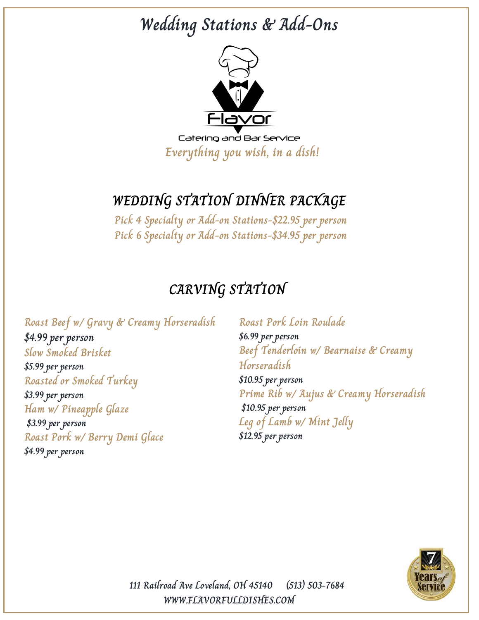# **Wedding Stations & Add-Ons**



## **WEDDING STATION DINNER PACKAGE**

**Pick 4 Specialty or Add-on Stations-\$22.95 per person Pick 6 Specialty or Add-on Stations-\$34.95 per person**

## **CARVING STATION**

**Roast Beef w/ Gravy & Creamy Horseradish \$4.99 per person Slow Smoked Brisket \$5.99 per person Roasted or Smoked Turkey \$3.99 per person Ham w/ Pineapple Glaze \$3.99 per person Roast Pork w/ Berry Demi Glace \$4.99 per person**

**Roast Pork Loin Roulade \$6.99 per person Beef Tenderloin w/ Bearnaise & Creamy Horseradish \$10.95 per person Prime Rib w/ Aujus & Creamy Horseradish \$10.95 per person Leg of Lamb w/ Mint Jelly \$12.95 per person**

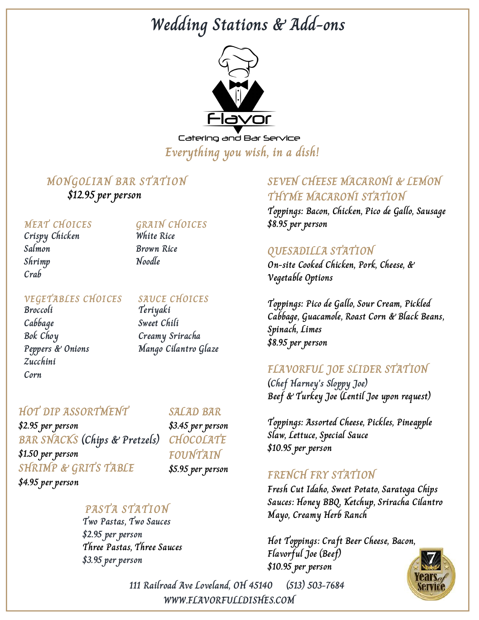# **Wedding Stations & Add-ons**



Catering and Bar Service **Everything you wish, in a dish!**

### **MONGOLIAN BAR STATION**

**\$12.95 per person**

### **MEAT CHOICES**

**Crispy Chicken Salmon Shrimp Crab**

### **GRAIN CHOICES**

**White Rice Brown Rice Noodle**

### **VEGETABLES CHOICES SAUCE CHOICES**

**Broccoli Cabbage Bok Choy Peppers & Onions Zucchini Corn**

**Teriyaki Sweet Chili Creamy Sriracha Mango Cilantro Glaze**

### **HOT DIP ASSORTMENT**

**\$2.95 per person BAR SNACKS (Chips & Pretzels) \$1.50 per person SHRIMP & GRITS TABLE \$4.95 per person**

**SALAD BAR**

**\$3.45 per person CHOCOLATE FOUNTAIN \$5.95 per person**

### **PASTA STATION**

**Two Pastas, Two Sauces \$2.95 per person Three Pastas, Three Sauces \$3.95 per person**

### **SEVEN CHEESE MACARONI & LEMON THYME MACARONI STATION**

**Toppings: Bacon, Chicken, Pico de Gallo, Sausage \$8.95 per person**

### **QUESADILLA STATION**

**On-site Cooked Chicken, Pork, Cheese, & Vegetable Options**

**Toppings: Pico de Gallo, Sour Cream, Pickled Cabbage, Guacamole, Roast Corn & Black Beans, Spinach, Limes \$8.95 per person**

### **FLAVORFUL JOE SLIDER STATION**

**(Chef Harney's Sloppy Joe) Beef & Turkey Joe (Lentil Joe upon request)**

**Toppings: Assorted Cheese, Pickles, Pineapple Slaw, Lettuce, Special Sauce \$10.95 per person**

### **FRENCH FRY STATION**

**Fresh Cut Idaho, Sweet Potato, Saratoga Chips Sauces: Honey BBQ, Ketchup, Sriracha Cilantro Mayo, Creamy Herb Ranch**

**Hot Toppings: Craft Beer Cheese, Bacon, Flavorful Joe (Beef) \$10.95 per person**